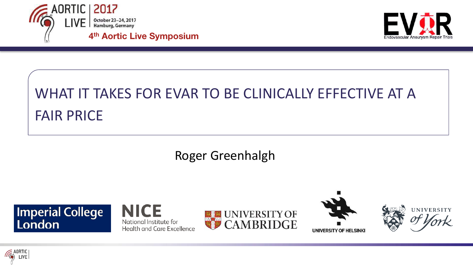



# WHAT IT TAKES FOR EVAR TO BE CLINICALLY EFFECTIVE AT A **FAIR PRICE**

#### Roger Greenhalgh







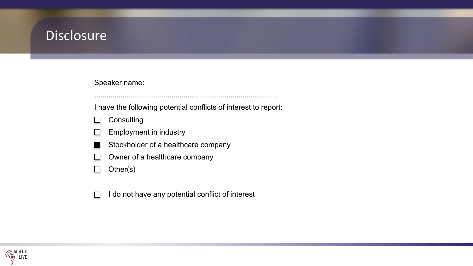#### **Disclosure**

#### Speaker name:

I have the following potential conflicts of interest to report:

..........................................................................................

- **Consulting** n
- Employment in industry  $\mathbf{L}$
- Stockholder of a healthcare company
- Owner of a healthcare company  $\blacksquare$
- Other(s)  $\Box$
- I do not have any potential conflict of interest

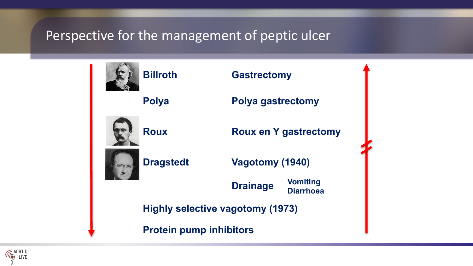#### Perspective for the management of peptic ulcer



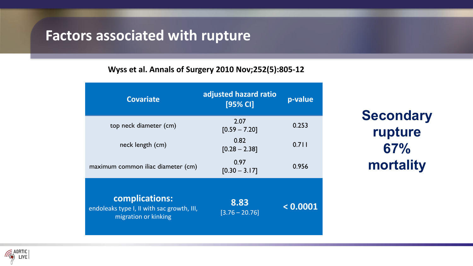#### **Factors associated with rupture**

#### **Wyss et al. Annals of Surgery 2010 Nov;252(5):805-12**

| <b>Covariate</b>                                                                     | adjusted hazard ratio<br>[95% CI] | p-value  |
|--------------------------------------------------------------------------------------|-----------------------------------|----------|
| top neck diameter (cm)                                                               | 2.07<br>$[0.59 - 7.20]$           | 0.253    |
| neck length (cm)                                                                     | 0.82<br>$[0.28 - 2.38]$           | 0.711    |
| maximum common iliac diameter (cm)                                                   | 0.97<br>$[0.30 - 3.17]$           | 0.956    |
| complications:<br>endoleaks type I, II with sac growth, III,<br>migration or kinking | 8.83<br>$[3.76 - 20.76]$          | < 0.0001 |

**Secondary rupture 67% mortality**

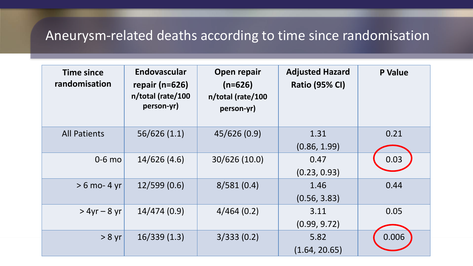## Aneurysm-related deaths according to time since randomisation

| <b>Time since</b><br>randomisation | <b>Endovascular</b><br>repair ( $n=626$ )<br>n/total (rate/100<br>person-yr) | Open repair<br>$(n=626)$<br>n/total (rate/100<br>person-yr) | <b>Adjusted Hazard</b><br><b>Ratio (95% CI)</b> | <b>P</b> Value |
|------------------------------------|------------------------------------------------------------------------------|-------------------------------------------------------------|-------------------------------------------------|----------------|
| <b>All Patients</b>                | 56/626(1.1)                                                                  | 45/626 (0.9)                                                | 1.31<br>(0.86, 1.99)                            | 0.21           |
| $0-6$ mo                           | 14/626(4.6)                                                                  | 30/626 (10.0)                                               | 0.47<br>(0.23, 0.93)                            | 0.03           |
| $> 6$ mo- 4 yr                     | 12/599(0.6)                                                                  | 8/581(0.4)                                                  | 1.46<br>(0.56, 3.83)                            | 0.44           |
| $> 4yr - 8 yr$                     | 14/474(0.9)                                                                  | 4/464(0.2)                                                  | 3.11<br>(0.99, 9.72)                            | 0.05           |
| $> 8$ yr                           | 16/339(1.3)                                                                  | 3/333(0.2)                                                  | 5.82<br>(1.64, 20.65)                           | 0.006          |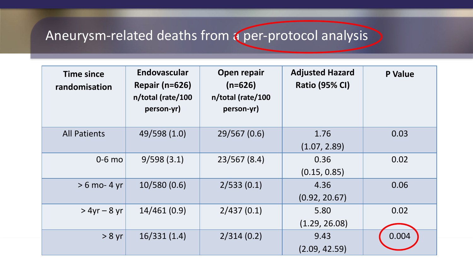# Aneurysm-related deaths from a per-protocol analysis

| <b>Time since</b><br>randomisation | <b>Endovascular</b><br><b>Repair (n=626)</b><br>n/total (rate/100<br>person-yr) | Open repair<br>$(n=626)$<br>n/total (rate/100<br>person-yr) | <b>Adjusted Hazard</b><br><b>Ratio (95% CI)</b> | <b>P</b> Value |
|------------------------------------|---------------------------------------------------------------------------------|-------------------------------------------------------------|-------------------------------------------------|----------------|
| <b>All Patients</b>                | 49/598 (1.0)                                                                    | 29/567 (0.6)                                                | 1.76<br>(1.07, 2.89)                            | 0.03           |
| $0-6$ mo                           | 9/598(3.1)                                                                      | 23/567(8.4)                                                 | 0.36<br>(0.15, 0.85)                            | 0.02           |
| $> 6$ mo- 4 yr                     | 10/580(0.6)                                                                     | 2/533(0.1)                                                  | 4.36<br>(0.92, 20.67)                           | 0.06           |
| $> 4yr - 8 yr$                     | 14/461(0.9)                                                                     | 2/437(0.1)                                                  | 5.80<br>(1.29, 26.08)                           | 0.02           |
| $> 8$ yr                           | 16/331(1.4)                                                                     | 2/314(0.2)                                                  | 9.43<br>(2.09, 42.59)                           | 0.004          |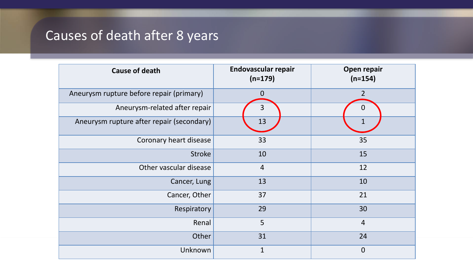## Causes of death after 8 years

| <b>Cause of death</b>                     | <b>Endovascular repair</b><br>$(n=179)$ | Open repair<br>$(n=154)$ |
|-------------------------------------------|-----------------------------------------|--------------------------|
| Aneurysm rupture before repair (primary)  | $\mathbf 0$                             | $\overline{2}$           |
| Aneurysm-related after repair             | 3                                       | 0                        |
| Aneurysm rupture after repair (secondary) | 13                                      | $\mathbf{1}$             |
| Coronary heart disease                    | 33                                      | 35                       |
| <b>Stroke</b>                             | 10                                      | 15                       |
| Other vascular disease                    | $\overline{4}$                          | 12                       |
| Cancer, Lung                              | 13                                      | 10                       |
| Cancer, Other                             | 37                                      | 21                       |
| Respiratory                               | 29                                      | 30                       |
| Renal                                     | 5                                       | $\overline{4}$           |
| Other                                     | 31                                      | 24                       |
| Unknown                                   | $\mathbf{1}$                            | $\mathbf 0$              |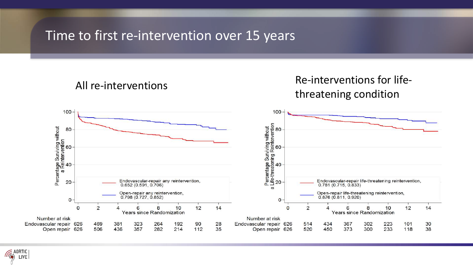#### Time to first re-intervention over 15 years

AORTIC LIVE

#### All re-interventions and the set of the Re-interventions for lifethreatening condition Percentage Surviving without<br>Life-threatening Reintervention<br>29<br>29 Endovascular-repair any reintervention,<br>0.652 (0.591, 0.706) Endovascular-repair life-threatening reintervention,<br>0.781 (0.715, 0.833)  $\boldsymbol{\varpi}$ Open-repair any reintervention,<br>0.798 (0.727, 0.852) Open-repair life-threatening reintervention,<br>0.876 (0.811, 0.920)  $\Omega$  $\Omega$  $\mathbf{o}$  $\overline{2}$  $\overline{2}$  $\overline{0}$ **Years since Randomization** Years since Randomization Number at risk Number at risk Endovascular repair 626 Endovascular repair 626 Open repair 626 Open repair 626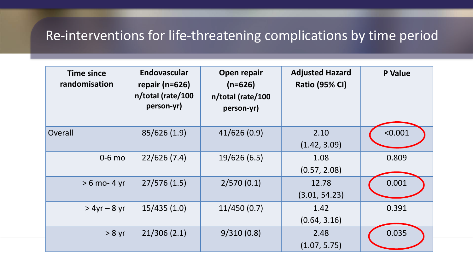## Re-interventions for life-threatening complications by time period

| <b>Time since</b><br>randomisation | <b>Endovascular</b><br>repair ( $n=626$ )<br>n/total (rate/100<br>person-yr) | Open repair<br>$(n=626)$<br>n/total (rate/100<br>person-yr) | <b>Adjusted Hazard</b><br><b>Ratio (95% CI)</b> | <b>P</b> Value |
|------------------------------------|------------------------------------------------------------------------------|-------------------------------------------------------------|-------------------------------------------------|----------------|
| Overall                            | 85/626 (1.9)                                                                 | 41/626(0.9)                                                 | 2.10<br>(1.42, 3.09)                            | < 0.001        |
| $0-6$ mo                           | 22/626(7.4)                                                                  | 19/626(6.5)                                                 | 1.08<br>(0.57, 2.08)                            | 0.809          |
| $> 6$ mo- 4 yr                     | 27/576(1.5)                                                                  | 2/570(0.1)                                                  | 12.78<br>(3.01, 54.23)                          | 0.001          |
| $> 4yr - 8 yr$                     | 15/435(1.0)                                                                  | 11/450(0.7)                                                 | 1.42<br>(0.64, 3.16)                            | 0.391          |
| > 8 yr                             | 21/306(2.1)                                                                  | 9/310(0.8)                                                  | 2.48<br>(1.07, 5.75)                            | 0.035          |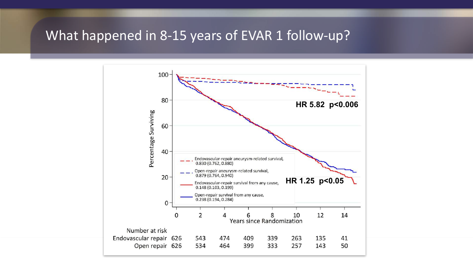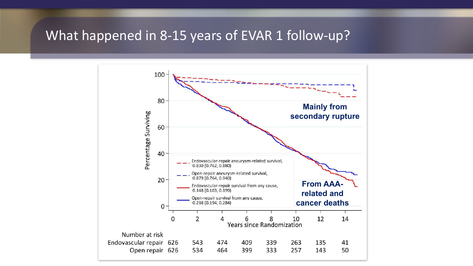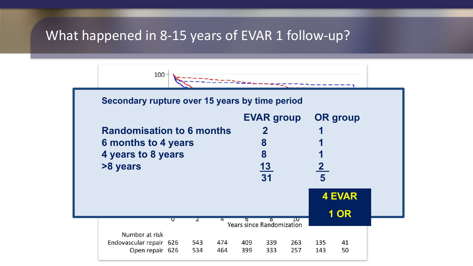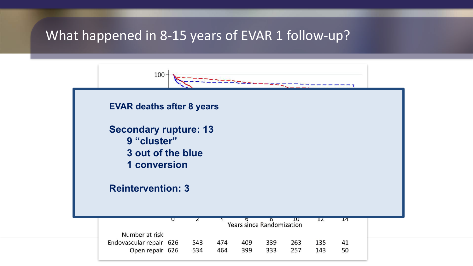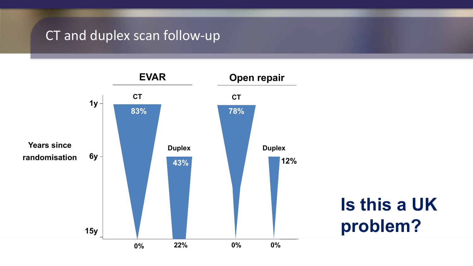#### CT and duplex scan follow-up

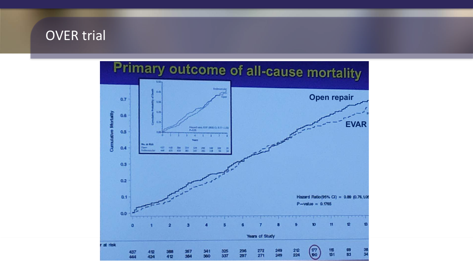#### OVER trial

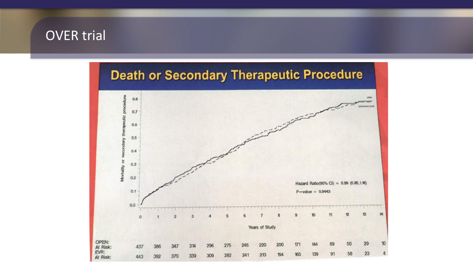## **OVER** trial

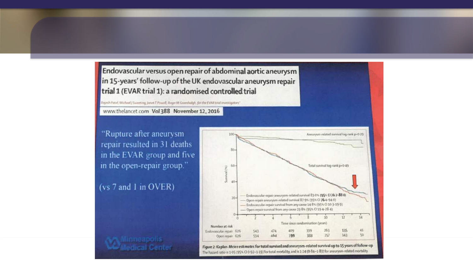Endovascular versus open repair of abdominal aortic aneurysm in 15-years' follow-up of the UK endovascular aneurysm repair trial 1 (EVAR trial 1): a randomised controlled trial

ajesh Patel, Michael J Sweeting, Janet T Piwell, Roger M Gerenhaldt, for the EVAR trial investigators'

www.thelancet.com Vol 388 November 12, 2016

"Rupture after aneurysm repair resulted in 31 deaths in the EVAR group and five in the open-repair group."

#### (vs 7 and 1 in OVER)

inneapolis ledical Center

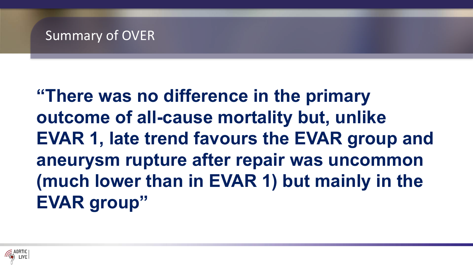#### Summary of OVER

**"There was no difference in the primary outcome of all-cause mortality but, unlike EVAR 1, late trend favours the EVAR group and aneurysm rupture after repair was uncommon (much lower than in EVAR 1) but mainly in the EVAR group"**

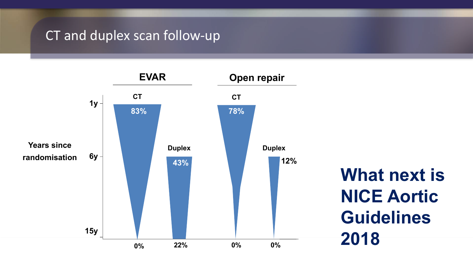#### CT and duplex scan follow-up

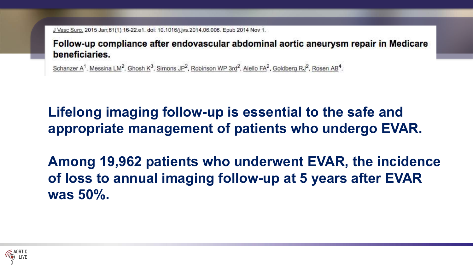J Vasc Surg. 2015 Jan;61(1):16-22.e1. doi: 10.1016/j.jvs.2014.06.006. Epub 2014 Nov 1.

Follow-up compliance after endovascular abdominal aortic aneurysm repair in Medicare beneficiaries.

Schanzer A<sup>1</sup>, Messina LM<sup>2</sup>, Ghosh K<sup>3</sup>, Simons JP<sup>2</sup>, Robinson WP 3rd<sup>2</sup>, Aiello FA<sup>2</sup>, Goldberg RJ<sup>2</sup>, Rosen AB<sup>4</sup>.

**Lifelong imaging follow-up is essential to the safe and appropriate management of patients who undergo EVAR.** 

**Among 19,962 patients who underwent EVAR, the incidence of loss to annual imaging follow-up at 5 years after EVAR was 50%.** 

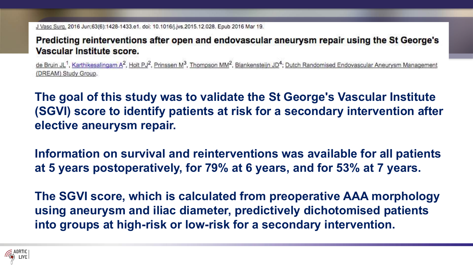J Vasc Surg, 2016 Jun;63(6):1428-1433.e1. doi: 10.1016/j.jvs.2015.12.028. Epub 2016 Mar 19.

Predicting reinterventions after open and endovascular aneurysm repair using the St George's Vascular Institute score.

de Bruin JL<sup>1</sup>, Karthikesalingam A<sup>2</sup>, Holt PJ<sup>2</sup>, Prinssen M<sup>3</sup>, Thompson MM<sup>2</sup>, Blankensteijn JD<sup>4</sup>; Dutch Randomised Endovascular Aneurysm Management (DREAM) Study Group.

**The goal of this study was to validate the St George's Vascular Institute (SGVI) score to identify patients at risk for a secondary intervention after elective aneurysm repair.**

**Information on survival and reinterventions was available for all patients at 5 years postoperatively, for 79% at 6 years, and for 53% at 7 years.** 

**The SGVI score, which is calculated from preoperative AAA morphology using aneurysm and iliac diameter, predictively dichotomised patients into groups at high-risk or low-risk for a secondary intervention.** 

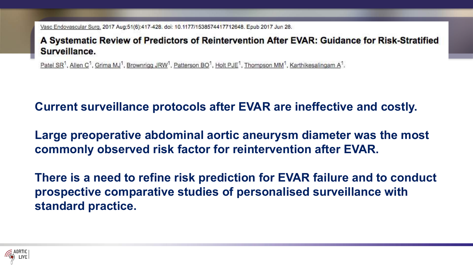Vasc Endovascular Surg. 2017 Aug;51(6):417-428. doi: 10.1177/1538574417712648. Epub 2017 Jun 28.

A Systematic Review of Predictors of Reintervention After EVAR: Guidance for Risk-Stratified Surveillance.

Patel SR<sup>1</sup>, Allen C<sup>1</sup>, Grima MJ<sup>1</sup>, Brownrigg JRW<sup>1</sup>, Patterson BO<sup>1</sup>, Holt PJE<sup>1</sup>, Thompson MM<sup>1</sup>, Karthikesalingam A<sup>1</sup>.

**Current surveillance protocols after EVAR are ineffective and costly.** 

**Large preoperative abdominal aortic aneurysm diameter was the most commonly observed risk factor for reintervention after EVAR.**

**There is a need to refine risk prediction for EVAR failure and to conduct prospective comparative studies of personalised surveillance with standard practice.**

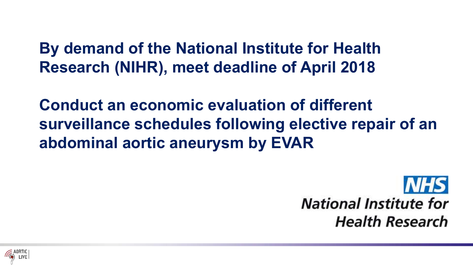**By demand of the National Institute for Health Research (NIHR), meet deadline of April 2018**

**Conduct an economic evaluation of different surveillance schedules following elective repair of an abdominal aortic aneurysm by EVAR**

> **NHS National Institute for Health Research**

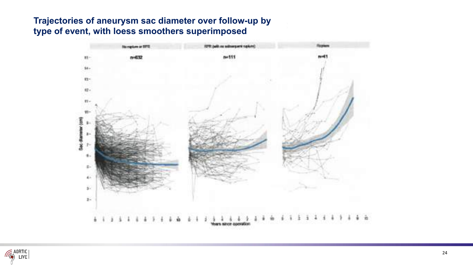#### **Trajectories of aneurysm sac diameter over follow-up by type of event, with loess smoothers superimposed**